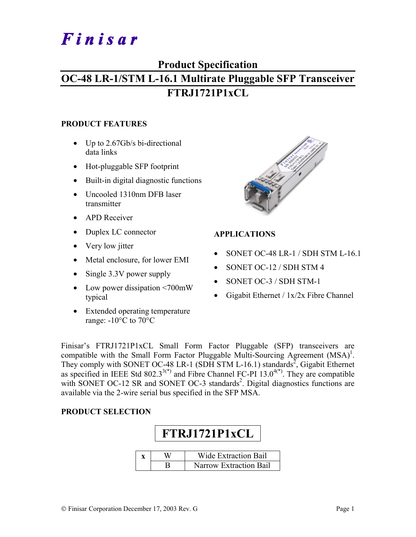# Finisar

### **Product Specification**

# **OC-48 LR-1/STM L-16.1 Multirate Pluggable SFP Transceiver FTRJ1721P1xCL**

#### **PRODUCT FEATURES**

- Up to 2.67Gb/s bi-directional data links
- Hot-pluggable SFP footprint
- Built-in digital diagnostic functions
- Uncooled 1310nm DFB laser transmitter
- APD Receiver
- Duplex LC connector
- Very low jitter
- Metal enclosure, for lower EMI
- Single 3.3V power supply
- Low power dissipation <700mW typical
- Extended operating temperature range: -10°C to 70°C



#### **APPLICATIONS**

- SONET OC-48 LR-1 / SDH STM L-16.1
- SONET OC-12 / SDH STM 4
- SONET OC-3 / SDH STM-1
- Gigabit Ethernet / 1x/2x Fibre Channel

Finisar's FTRJ1721P1xCL Small Form Factor Pluggable (SFP) transceivers are compatible with the Small Form Factor Pluggable Multi-Sourcing Agreement  $(MSA)^1$ . They comply with SONET OC-48 LR-1 (SDH STM L-16.1) standards<sup>2</sup>, Gigabit Ethernet as specified in IEEE Std  $802.3^{3(*)}$  and Fibre Channel FC-PI 13.0<sup>4(\*)</sup>. They are compatible with SONET OC-12 SR and SONET OC-3 standards<sup>2</sup>. Digital diagnostics functions are available via the 2-wire serial bus specified in the SFP MSA.

#### **PRODUCT SELECTION**

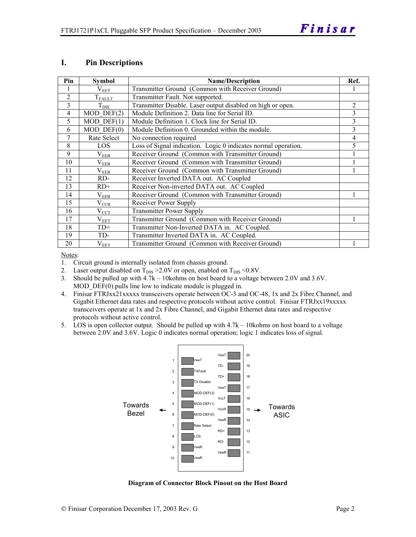#### **I. Pin Descriptions**

| Pin            | <b>Symbol</b>    | <b>Name/Description</b>                                        |                |  |  |
|----------------|------------------|----------------------------------------------------------------|----------------|--|--|
|                | $\rm V_{EET}$    | Transmitter Ground (Common with Receiver Ground)               |                |  |  |
| $\overline{2}$ | $T_{FAULT}$      | Transmitter Fault. Not supported.                              |                |  |  |
| 3              | $T_{\text{DIS}}$ | Transmitter Disable. Laser output disabled on high or open.    | $\overline{2}$ |  |  |
| 4              | $MOD$ DEF $(2)$  | Module Definition 2. Data line for Serial ID.                  | 3              |  |  |
| 5              | $MOD$ DEF $(1)$  | Module Definition 1. Clock line for Serial ID.                 | 3              |  |  |
| 6              | $MOD$ $DEF(0)$   | Module Definition 0. Grounded within the module.               | 3              |  |  |
| 7              | Rate Select      | No connection required                                         | 4              |  |  |
| 8              | LOS              | Loss of Signal indication. Logic 0 indicates normal operation. | 5              |  |  |
| 9              | $\rm V_{EER}$    | Receiver Ground (Common with Transmitter Ground)               |                |  |  |
| 10             | $\rm V_{EER}$    | Receiver Ground (Common with Transmitter Ground)               |                |  |  |
| 11             | $\rm V_{EER}$    | Receiver Ground (Common with Transmitter Ground)               |                |  |  |
| 12             | RD-              | Receiver Inverted DATA out. AC Coupled                         |                |  |  |
| 13             | $RD+$            | Receiver Non-inverted DATA out. AC Coupled                     |                |  |  |
| 14             | $\rm V_{EER}$    | Receiver Ground (Common with Transmitter Ground)               |                |  |  |
| 15             | $\rm V_{CCR}$    | Receiver Power Supply                                          |                |  |  |
| 16             | $V_{\rm CCT}$    | <b>Transmitter Power Supply</b>                                |                |  |  |
| 17             | $\rm V_{EET}$    | Transmitter Ground (Common with Receiver Ground)               |                |  |  |
| 18             | $TD+$            | Transmitter Non-Inverted DATA in. AC Coupled.                  |                |  |  |
| 19             | TD-              | Transmitter Inverted DATA in. AC Coupled.                      |                |  |  |
| 20             | $V_{EET}$        | Transmitter Ground (Common with Receiver Ground)               |                |  |  |

Notes:

1. Circuit ground is internally isolated from chassis ground.

2. Laser output disabled on  $T_{DIS} > 2.0V$  or open, enabled on  $T_{DIS} < 0.8V$ .

3. Should be pulled up with 4.7k – 10kohms on host board to a voltage between 2.0V and 3.6V. MOD DEF(0) pulls line low to indicate module is plugged in.

- 4. Finisar FTRJxx21xxxxx transceivers operate between OC-3 and OC-48, 1x and 2x Fibre Channel, and Gigabit Ethernet data rates and respective protocols without active control. Finisar FTRJxx19xxxxx transceivers operate at 1x and 2x Fibre Channel, and Gigabit Ethernet data rates and respective protocols without active control.
- 5. LOS is open collector output. Should be pulled up with 4.7k 10kohms on host board to a voltage between 2.0V and 3.6V. Logic 0 indicates normal operation; logic 1 indicates loss of signal.



**Diagram of Connector Block Pinout on the Host Board**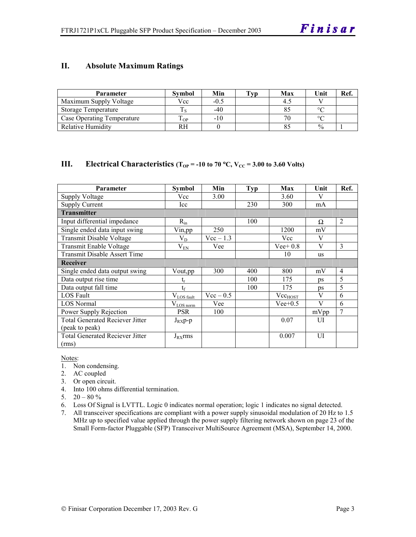#### **II. Absolute Maximum Ratings**

| <b>Parameter</b>           | <b>Symbol</b> | Min    | Typ | Max | Unit          | Ref. |
|----------------------------|---------------|--------|-----|-----|---------------|------|
| Maximum Supply Voltage     | Vcc           | $-0.5$ |     |     |               |      |
| Storage Temperature        |               | $-40$  |     |     | $\sim$        |      |
| Case Operating Temperature | OP.           | $-10$  |     |     |               |      |
| Relative Humidity          |               |        |     |     | $\frac{0}{0}$ |      |

#### **III.** Electrical Characteristics ( $T_{OP}$  = -10 to 70 °C,  $V_{CC}$  = 3.00 to 3.60 Volts)

| <b>Parameter</b>                       | Symbol                  | Min         | Typ | Max          | Unit | Ref.           |
|----------------------------------------|-------------------------|-------------|-----|--------------|------|----------------|
| <b>Supply Voltage</b>                  | Vcc                     | 3.00        |     | 3.60         | V    |                |
| <b>Supply Current</b>                  | Icc                     |             | 230 | 300          | mA   |                |
| <b>Transmitter</b>                     |                         |             |     |              |      |                |
| Input differential impedance           | $R_{in}$                |             | 100 |              | Ω    | $\overline{2}$ |
| Single ended data input swing          | Vin,pp                  | 250         |     | 1200         | mV   |                |
| <b>Transmit Disable Voltage</b>        | $\rm V_{D}$             | $Vec-1.3$   |     | Vcc          | V    |                |
| Transmit Enable Voltage                | $V_{EN}$                | Vee         |     | $Vee+0.8$    | V    | 3              |
| <b>Transmit Disable Assert Time</b>    |                         |             |     | 10           | us   |                |
| <b>Receiver</b>                        |                         |             |     |              |      |                |
| Single ended data output swing         | Vout,pp                 | 300         | 400 | 800          | mV   | $\overline{4}$ |
| Data output rise time                  | t,                      |             | 100 | 175          | ps   | 5              |
| Data output fall time                  | $t_{\rm f}$             |             | 100 | 175          | ps   | 5              |
| LOS Fault                              | $V_{LOS \frac{fault}{}$ | $Vec - 0.5$ |     | $Vec_{HOST}$ | V    | 6              |
| <b>LOS</b> Normal                      | $V_{LOS\frac{norm}{}}$  | Vee         |     | $Vee+0.5$    | V    | 6              |
| Power Supply Rejection                 | <b>PSR</b>              | 100         |     |              | mVpp | 7              |
| <b>Total Generated Reciever Jitter</b> | $J_{RX}p-p$             |             |     | 0.07         | UI   |                |
| (peak to peak)                         |                         |             |     |              |      |                |
| <b>Total Generated Reciever Jitter</b> | $J_{RX}$ rms            |             |     | 0.007        | UI   |                |
| (rms)                                  |                         |             |     |              |      |                |

Notes:

- 1. Non condensing.
- 2. AC coupled
- 3. Or open circuit.
- 4. Into 100 ohms differential termination.
- 5.  $20 80 \%$
- 6. Loss Of Signal is LVTTL. Logic 0 indicates normal operation; logic 1 indicates no signal detected.
- 7. All transceiver specifications are compliant with a power supply sinusoidal modulation of 20 Hz to 1.5 MHz up to specified value applied through the power supply filtering network shown on page 23 of the Small Form-factor Pluggable (SFP) Transceiver MultiSource Agreement (MSA), September 14, 2000.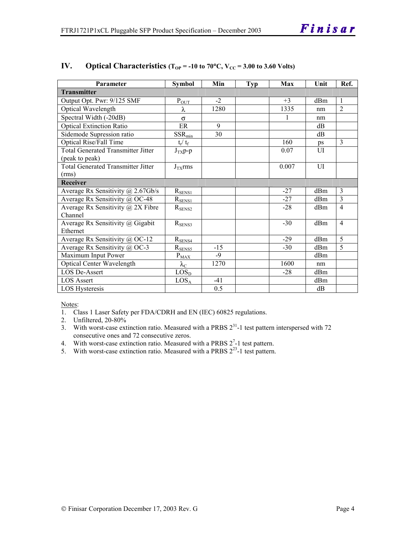| Parameter                                                   | <b>Symbol</b>               | Min   | <b>Typ</b> | Max   | Unit | Ref.           |  |
|-------------------------------------------------------------|-----------------------------|-------|------------|-------|------|----------------|--|
| <b>Transmitter</b>                                          |                             |       |            |       |      |                |  |
| Output Opt. Pwr: 9/125 SMF                                  | $P_{OUT}$                   | $-2$  |            | $+3$  | dBm  | $\mathbf{1}$   |  |
| Optical Wavelength                                          | λ                           | 1280  |            | 1335  | nm   | $\overline{2}$ |  |
| Spectral Width (-20dB)                                      | $\sigma$                    |       |            |       | nm   |                |  |
| <b>Optical Extinction Ratio</b>                             | ER                          | 9     |            |       | dB   |                |  |
| Sidemode Supression ratio                                   | $SSR_{min}$                 | 30    |            |       | dB   |                |  |
| Optical Rise/Fall Time                                      | $t_r / t_f$                 |       |            | 160   | ps   | 3              |  |
| <b>Total Generated Transmitter Jitter</b><br>(peak to peak) | $J_{TX}p-p$                 |       |            | 0.07  | UI   |                |  |
| <b>Total Generated Transmitter Jitter</b>                   | $J_{TX}$ rms                |       |            | 0.007 | UI   |                |  |
| (rms)                                                       |                             |       |            |       |      |                |  |
| <b>Receiver</b>                                             |                             |       |            |       |      |                |  |
| Average Rx Sensitivity $\omega$ 2.67Gb/s                    | $R_{SENS1}$                 |       |            | $-27$ | dBm  | 3              |  |
| Average Rx Sensitivity @ OC-48                              | $R_{SENS1}$                 |       |            | $-27$ | dBm  | 3              |  |
| Average Rx Sensitivity @ 2X Fibre<br>Channel                | $R_{\text{SENS2}}$          |       |            | $-28$ | dBm  | $\overline{4}$ |  |
| Average Rx Sensitivity @ Gigabit<br>Ethernet                | $R_{\text{SENS3}}$          |       |            | $-30$ | dBm  | $\overline{4}$ |  |
| Average Rx Sensitivity @ OC-12                              | $R_{SE$ <sub>NS4</sub>      |       |            | $-29$ | dBm  | 5              |  |
| Average Rx Sensitivity @ OC-3                               | $R_{SENS5}$                 | $-15$ |            | $-30$ | dBm  | 5              |  |
| Maximum Input Power                                         | $P_{MAX}$                   | $-9$  |            |       | dBm  |                |  |
| <b>Optical Center Wavelength</b>                            | $\lambda_{\mathrm{C}}$      | 1270  |            | 1600  | nm   |                |  |
| LOS De-Assert                                               | LOS <sub>D</sub>            |       |            | $-28$ | dBm  |                |  |
| <b>LOS Assert</b>                                           | $\mathrm{LOS}_{\mathrm{A}}$ | $-41$ |            |       | dBm  |                |  |
| LOS Hysteresis                                              |                             | 0.5   |            |       | dB   |                |  |

#### **IV.** Optical Characteristics ( $T_{OP}$  = -10 to 70°C,  $V_{CC}$  = 3.00 to 3.60 Volts)

Notes:

1. Class 1 Laser Safety per FDA/CDRH and EN (IEC) 60825 regulations.

2. Unfiltered, 20-80%

- 3. With worst-case extinction ratio. Measured with a PRBS  $2^{31}$ -1 test pattern interspersed with 72 consecutive ones and 72 consecutive zeros.
- 4. With worst-case extinction ratio. Measured with a PRBS  $2^7$ -1 test pattern.
- 5. With worst-case extinction ratio. Measured with a PRBS  $2^{23}$ -1 test pattern.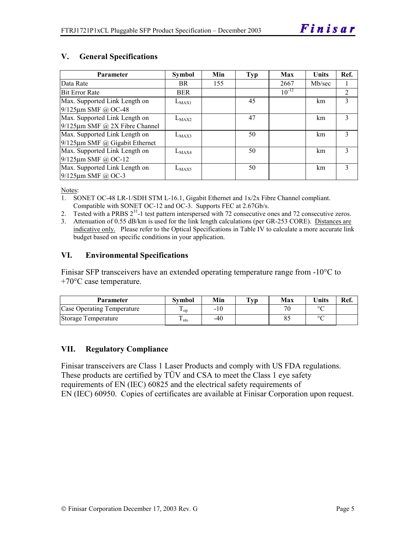#### **V. General Specifications**

| Parameter                            | <b>Symbol</b> | Min | Typ | Max        | <b>Units</b> | Ref.         |
|--------------------------------------|---------------|-----|-----|------------|--------------|--------------|
| Data Rate                            | BR.           | 155 |     | 2667       | Mb/sec       |              |
| <b>Bit Error Rate</b>                | <b>BER</b>    |     |     | $10^{-12}$ |              | 2            |
| Max. Supported Link Length on        | $L_{MAX1}$    |     | 45  |            | km           | 3            |
| $9/125$ µm SMF @ OC-48               |               |     |     |            |              |              |
| Max. Supported Link Length on        | $L_{MAX2}$    |     | 47  |            | km           | 3            |
| $9/125 \mu m$ SMF @ 2X Fibre Channel |               |     |     |            |              |              |
| Max. Supported Link Length on        | $L_{MAX3}$    |     | 50  |            | km           | 3            |
| $9/125 \mu m$ SMF @ Gigabit Ethernet |               |     |     |            |              |              |
| Max. Supported Link Length on        | $L_{MAX4}$    |     | 50  |            | km           | 3            |
| $9/125 \mu m$ SMF @ OC-12            |               |     |     |            |              |              |
| Max. Supported Link Length on        | $L_{MAX5}$    |     | 50  |            | km           | $\mathbf{3}$ |
| $9/125$ µm SMF @ OC-3                |               |     |     |            |              |              |

Notes:

- 1. SONET OC-48 LR-1/SDH STM L-16.1, Gigabit Ethernet and 1x/2x Fibre Channel compliant. Compatible with SONET OC-12 and OC-3. Supports FEC at 2.67Gb/s.
- 2. Tested with a PRBS  $2<sup>31</sup>$ -1 test pattern interspersed with 72 consecutive ones and 72 consecutive zeros.
- 3. Attenuation of 0.55 dB/km is used for the link length calculations (per GR-253 CORE). Distances are indicative only. Please refer to the Optical Specifications in Table IV to calculate a more accurate link budget based on specific conditions in your application.

#### **VI. Environmental Specifications**

Finisar SFP transceivers have an extended operating temperature range from -10°C to +70°C case temperature.

| <b>Parameter</b>                  | Svmbol          | Min   | $\mathbf{T}_{\mathbf{V}\mathbf{p}}$ | Max | <b>Units</b> | Ref. |
|-----------------------------------|-----------------|-------|-------------------------------------|-----|--------------|------|
| <b>Case Operating Temperature</b> | $\mathbf{1}$ op | -10   |                                     | חר  | $\circ$      |      |
| Storage Temperature               | $\pm$ sto       | $-40$ |                                     |     | $\sim$       |      |

#### **VII. Regulatory Compliance**

Finisar transceivers are Class 1 Laser Products and comply with US FDA regulations. These products are certified by TÜV and CSA to meet the Class 1 eye safety requirements of EN (IEC) 60825 and the electrical safety requirements of EN (IEC) 60950. Copies of certificates are available at Finisar Corporation upon request.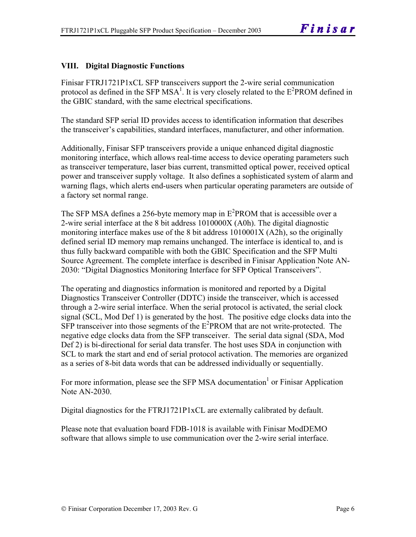#### **VIII. Digital Diagnostic Functions**

Finisar FTRJ1721P1xCL SFP transceivers support the 2-wire serial communication protocol as defined in the SFP MSA<sup>1</sup>. It is very closely related to the  $E^2$ PROM defined in the GBIC standard, with the same electrical specifications.

The standard SFP serial ID provides access to identification information that describes the transceiver's capabilities, standard interfaces, manufacturer, and other information.

Additionally, Finisar SFP transceivers provide a unique enhanced digital diagnostic monitoring interface, which allows real-time access to device operating parameters such as transceiver temperature, laser bias current, transmitted optical power, received optical power and transceiver supply voltage. It also defines a sophisticated system of alarm and warning flags, which alerts end-users when particular operating parameters are outside of a factory set normal range.

The SFP MSA defines a 256-byte memory map in  $E^2$ PROM that is accessible over a 2-wire serial interface at the 8 bit address 1010000X (A0h). The digital diagnostic monitoring interface makes use of the 8 bit address 1010001X (A2h), so the originally defined serial ID memory map remains unchanged. The interface is identical to, and is thus fully backward compatible with both the GBIC Specification and the SFP Multi Source Agreement. The complete interface is described in Finisar Application Note AN-2030: "Digital Diagnostics Monitoring Interface for SFP Optical Transceivers".

The operating and diagnostics information is monitored and reported by a Digital Diagnostics Transceiver Controller (DDTC) inside the transceiver, which is accessed through a 2-wire serial interface. When the serial protocol is activated, the serial clock signal (SCL, Mod Def 1) is generated by the host. The positive edge clocks data into the  $SFP$  transceiver into those segments of the  $E^2$ PROM that are not write-protected. The negative edge clocks data from the SFP transceiver. The serial data signal (SDA, Mod Def 2) is bi-directional for serial data transfer. The host uses SDA in conjunction with SCL to mark the start and end of serial protocol activation. The memories are organized as a series of 8-bit data words that can be addressed individually or sequentially.

For more information, please see the SFP MSA documentation<sup>1</sup> or Finisar Application Note AN-2030.

Digital diagnostics for the FTRJ1721P1xCL are externally calibrated by default.

Please note that evaluation board FDB-1018 is available with Finisar ModDEMO software that allows simple to use communication over the 2-wire serial interface.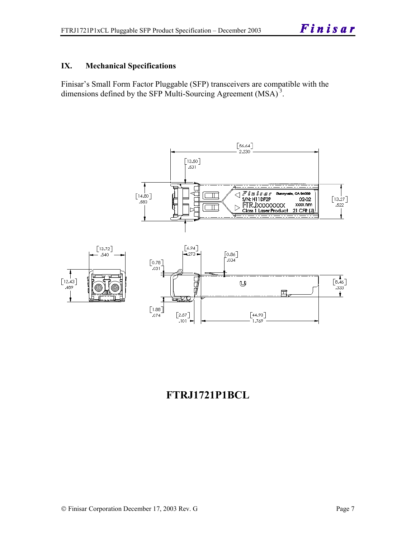#### **IX. Mechanical Specifications**

Finisar's Small Form Factor Pluggable (SFP) transceivers are compatible with the dimensions defined by the SFP Multi-Sourcing Agreement (MSA)<sup>3</sup>.



# **FTRJ1721P1BCL**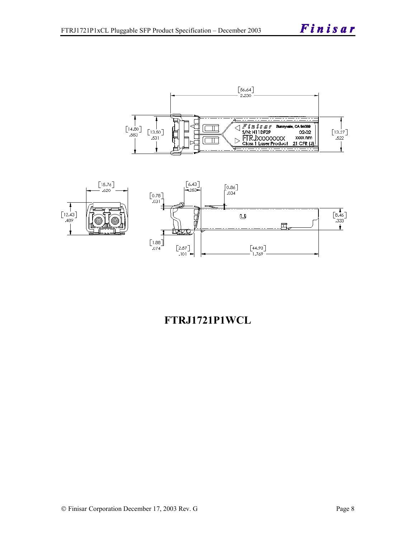



# **FTRJ1721P1WCL**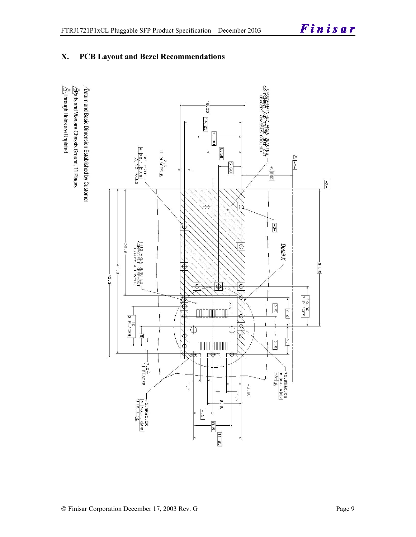

#### **X. PCB Layout and Bezel Recommendations**

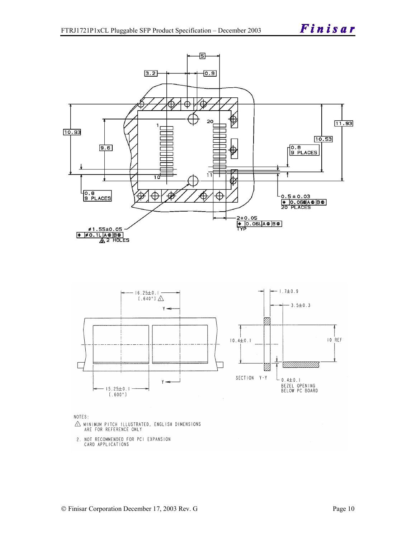



NOTES:

- $\triangle$  MINIMUM PITCH ILLUSTRATED, ENGLISH DIMENSIONS ARE FOR REFERENCE ONLY
- 2. NOT RECOMMENDED FOR PCI EXPANSION CARD APPLICATIONS